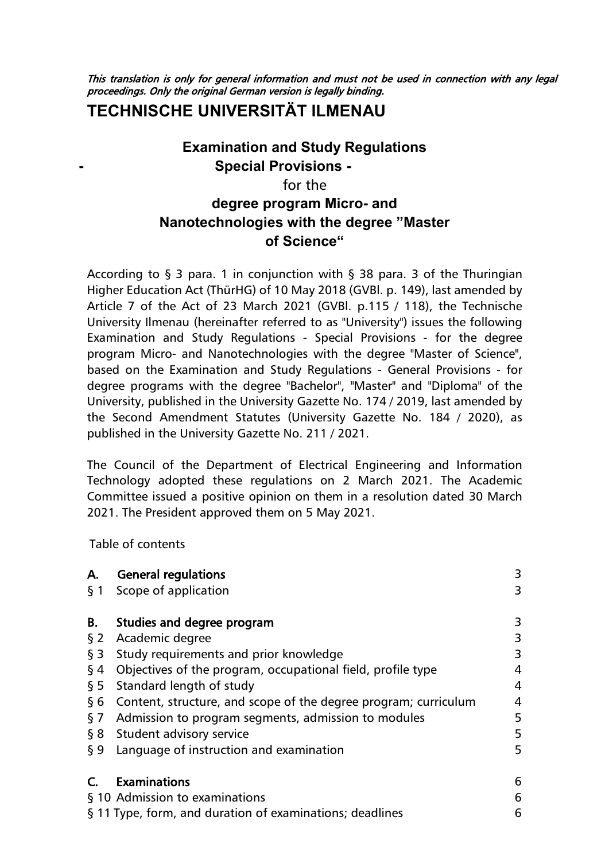This translation is only for general information and must not be used in connection with any legal proceedings. Only the original German version is legally binding.

# **TECHNISCHE UNIVERSITÄT ILMENAU**

# **Examination and Study Regulations - Special Provisions**  for the **degree program Micro- and Nanotechnologies with the degree "Master of Science"**

According to  $\S$  3 para. 1 in conjunction with  $\S$  38 para. 3 of the Thuringian Higher Education Act (ThürHG) of 10 May 2018 (GVBl. p. 149), last amended by Article 7 of the Act of 23 March 2021 (GVBl. p.115 / 118), the Technische University Ilmenau (hereinafter referred to as "University") issues the following Examination and Study Regulations - Special Provisions - for the degree program Micro- and Nanotechnologies with the degree "Master of Science", based on the Examination and Study Regulations - General Provisions - for degree programs with the degree "Bachelor", "Master" and "Diploma" of the University, published in the University Gazette No. 174 / 2019, last amended by the Second Amendment Statutes (University Gazette No. 184 / 2020), as published in the University Gazette No. 211 / 2021.

The Council of the Department of Electrical Engineering and Information Technology adopted these regulations on 2 March 2021. The Academic Committee issued a positive opinion on them in a resolution dated 30 March 2021. The President approved them on 5 May 2021.

<span id="page-0-0"></span>Table of contents

| Α.     | <b>General regulations</b>                                      | 3 |
|--------|-----------------------------------------------------------------|---|
|        | § 1 Scope of application                                        | 3 |
| В.     | Studies and degree program                                      | 3 |
| $\S 2$ | Academic degree                                                 | 3 |
| $\S$ 3 | Study requirements and prior knowledge                          | 3 |
| $\S$ 4 | Objectives of the program, occupational field, profile type     | 4 |
| $\S$ 5 | Standard length of study                                        | 4 |
| §6     | Content, structure, and scope of the degree program; curriculum | 4 |
| § 7    | Admission to program segments, admission to modules             | 5 |
|        | § 8 Student advisory service                                    | 5 |
| $\S 9$ | Language of instruction and examination                         | 5 |
|        | <b>Examinations</b>                                             | 6 |
|        | § 10 Admission to examinations                                  | 6 |
|        | § 11 Type, form, and duration of examinations; deadlines        | 6 |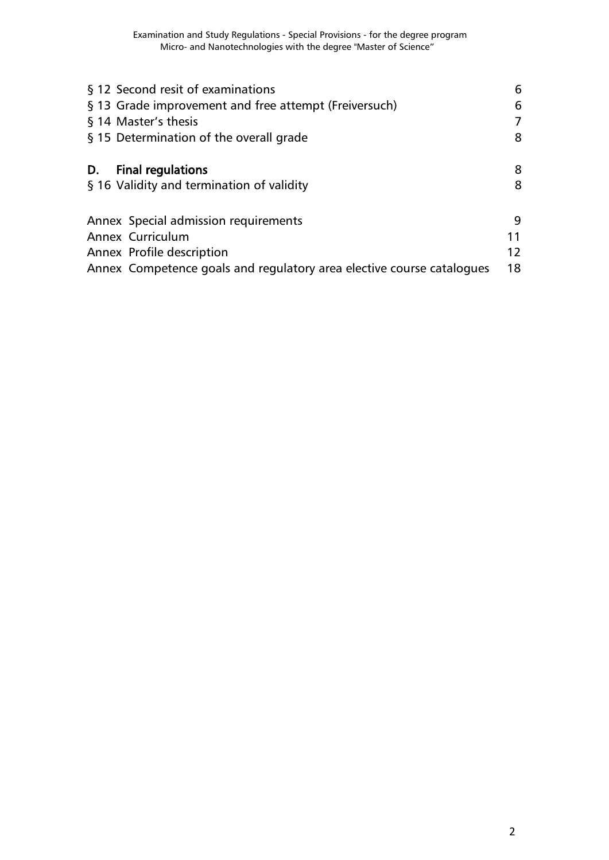| § 12 Second resit of examinations<br>§ 13 Grade improvement and free attempt (Freiversuch)<br>§ 14 Master's thesis<br>§ 15 Determination of the overall grade  | 6<br>6<br>8   |
|----------------------------------------------------------------------------------------------------------------------------------------------------------------|---------------|
| <b>Final regulations</b><br>D.<br>§ 16 Validity and termination of validity                                                                                    | 8<br>8        |
| Annex Special admission requirements<br>Annex Curriculum<br>Annex Profile description<br>Annex Competence goals and regulatory area elective course catalogues | 9<br>12<br>18 |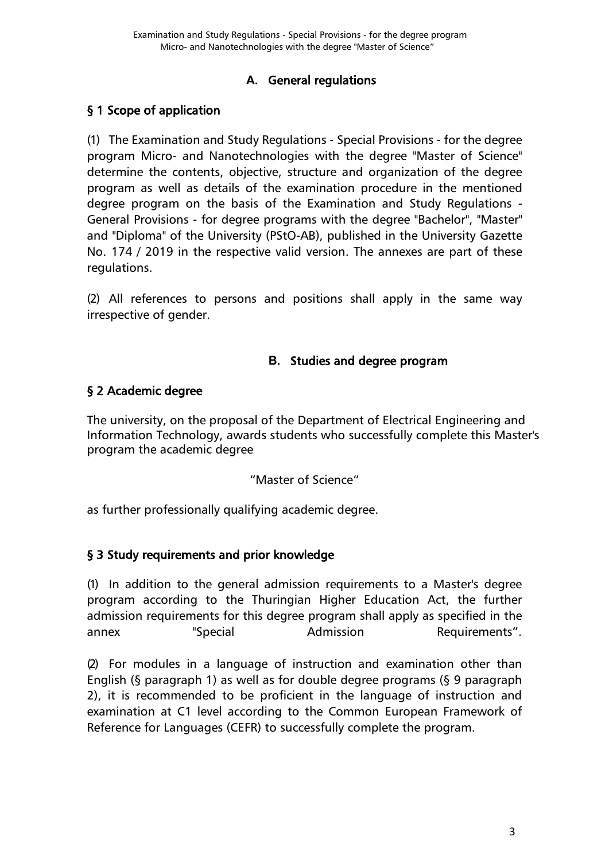### **A.** General regulations

### <span id="page-2-1"></span><span id="page-2-0"></span>[§ 1 Scope of application](#page-0-0)

(1) The Examination and Study Regulations - Special Provisions - for the degree program Micro- and Nanotechnologies with the degree "Master of Science" determine the contents, objective, structure and organization of the degree program as well as details of the examination procedure in the mentioned degree program on the basis of the Examination and Study Regulations - General Provisions - for degree programs with the degree "Bachelor", "Master" and "Diploma" of the University (PStO-AB), published in the University Gazette No. 174 / 2019 in the respective valid version. The annexes are part of these regulations.

(2) All references to persons and positions shall apply in the same way irrespective of gender.

#### **B.** Studies and degree program

#### <span id="page-2-3"></span><span id="page-2-2"></span>[§ 2 Academic degree](#page-0-0)

The university, on the proposal of the Department of Electrical Engineering and Information Technology, awards students who successfully complete this Master's program the academic degree

"Master of Science"

as further professionally qualifying academic degree.

### <span id="page-2-4"></span>[§ 3 Study requirements and prior knowledge](#page-0-0)

(1) In addition to the general admission requirements to a Master's degree program according to the Thuringian Higher Education Act, the further admission requirements for this degree program shall apply as specified in the annex "Special Admission Requirements".

(2) For modules in a language of instruction and examination other than English (§ paragraph 1) as well as for double degree programs (§ 9 paragraph 2), it is recommended to be proficient in the language of instruction and examination at C1 level according to the Common European Framework of Reference for Languages (CEFR) to successfully complete the program.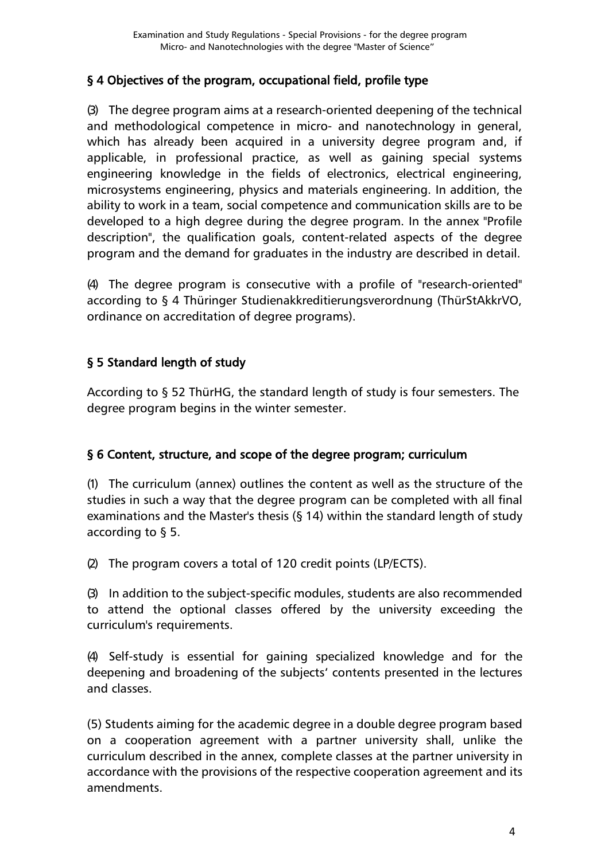## <span id="page-3-0"></span>[§ 4 Objectives of the program, occupational field, profile type](#page-0-0)

(3) The degree program aims at a research-oriented deepening of the technical and methodological competence in micro- and nanotechnology in general, which has already been acquired in a university degree program and, if applicable, in professional practice, as well as gaining special systems engineering knowledge in the fields of electronics, electrical engineering, microsystems engineering, physics and materials engineering. In addition, the ability to work in a team, social competence and communication skills are to be developed to a high degree during the degree program. In the annex "Profile description", the qualification goals, content-related aspects of the degree program and the demand for graduates in the industry are described in detail.

(4) The degree program is consecutive with a profile of "research-oriented" according to § 4 Thüringer Studienakkreditierungsverordnung (ThürStAkkrVO, ordinance on accreditation of degree programs).

## <span id="page-3-1"></span>[§ 5 Standard length of study](#page-0-0)

According to § 52 ThürHG, the standard length of study is four semesters. The degree program begins in the winter semester.

### <span id="page-3-2"></span>[§ 6 Content, structure, and scope of the degree program; curriculum](#page-0-0)

(1) The curriculum (annex) outlines the content as well as the structure of the studies in such a way that the degree program can be completed with all final examinations and the Master's thesis (§ 14) within the standard length of study according to § 5.

(2) The program covers a total of 120 credit points (LP/ECTS).

(3) In addition to the subject-specific modules, students are also recommended to attend the optional classes offered by the university exceeding the curriculum's requirements.

(4) Self-study is essential for gaining specialized knowledge and for the deepening and broadening of the subjects' contents presented in the lectures and classes.

(5) Students aiming for the academic degree in a double degree program based on a cooperation agreement with a partner university shall, unlike the curriculum described in the annex, complete classes at the partner university in accordance with the provisions of the respective cooperation agreement and its amendments.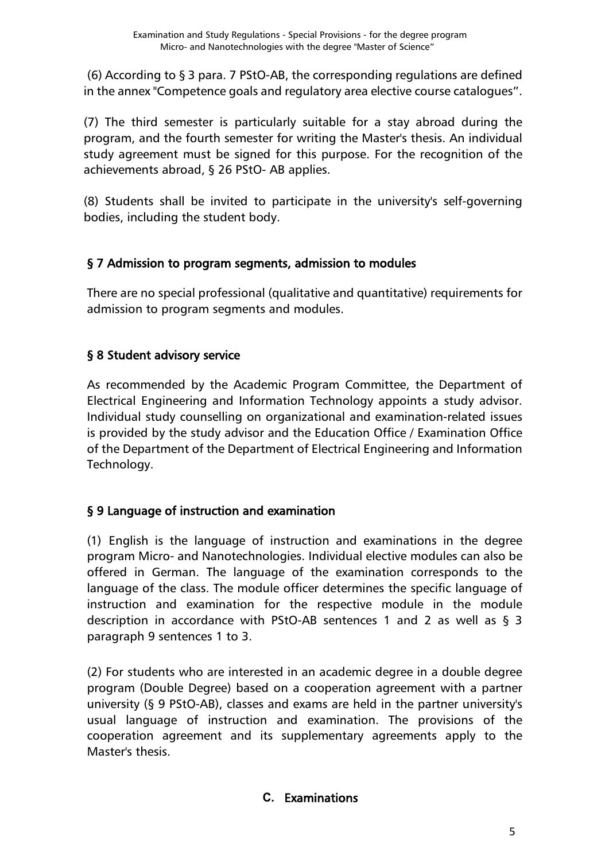(6) According to § 3 para. 7 PStO-AB, the corresponding regulations are defined in the annex "Competence goals and regulatory area elective course catalogues".

(7) The third semester is particularly suitable for a stay abroad during the program, and the fourth semester for writing the Master's thesis. An individual study agreement must be signed for this purpose. For the recognition of the achievements abroad, § 26 PStO- AB applies.

(8) Students shall be invited to participate in the university's self-governing bodies, including the student body.

## <span id="page-4-0"></span>[§ 7 Admission to program segments, admission to modules](#page-0-0)

There are no special professional (qualitative and quantitative) requirements for admission to program segments and modules.

## <span id="page-4-1"></span>[§ 8 Student advisory service](#page-0-0)

As recommended by the Academic Program Committee, the Department of Electrical Engineering and Information Technology appoints a study advisor. Individual study counselling on organizational and examination-related issues is provided by the study advisor and the Education Office / Examination Office of the Department of the Department of Electrical Engineering and Information Technology.

### <span id="page-4-2"></span>[§ 9 Language of instruction and examination](#page-0-0)

(1) English is the language of instruction and examinations in the degree program Micro- and Nanotechnologies. Individual elective modules can also be offered in German. The language of the examination corresponds to the language of the class. The module officer determines the specific language of instruction and examination for the respective module in the module description in accordance with PStO-AB sentences 1 and 2 as well as § 3 paragraph 9 sentences 1 to 3.

<span id="page-4-3"></span>(2) For students who are interested in an academic degree in a double degree program (Double Degree) based on a cooperation agreement with a partner university (§ 9 PStO-AB), classes and exams are held in the partner university's usual language of instruction and examination. The provisions of the cooperation agreement and its supplementary agreements apply to the Master's thesis.

### **C.** Examinations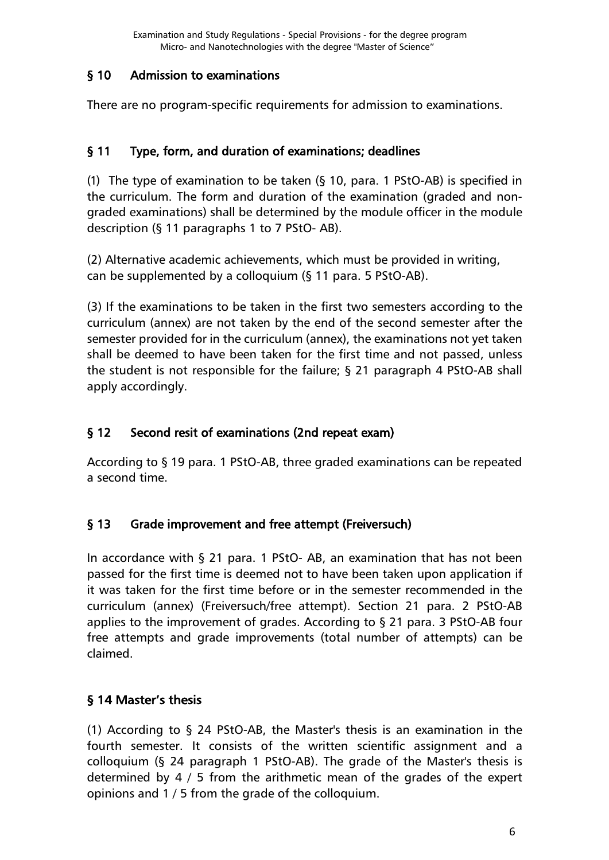### <span id="page-5-0"></span>[§ 10 Admission to examinations](#page-0-0)

There are no program-specific requirements for admission to examinations.

## <span id="page-5-1"></span>[§ 11 Type, form, and duration of examinations; deadlines](#page-0-0)

(1) The type of examination to be taken (§ 10, para. 1 PStO-AB) is specified in the curriculum. The form and duration of the examination (graded and nongraded examinations) shall be determined by the module officer in the module description (§ 11 paragraphs 1 to 7 PStO- AB).

(2) Alternative academic achievements, which must be provided in writing, can be supplemented by a colloquium (§ 11 para. 5 PStO-AB).

(3) If the examinations to be taken in the first two semesters according to the curriculum (annex) are not taken by the end of the second semester after the semester provided for in the curriculum (annex), the examinations not yet taken shall be deemed to have been taken for the first time and not passed, unless the student is not responsible for the failure; § 21 paragraph 4 PStO-AB shall apply accordingly.

# <span id="page-5-2"></span>[§ 12 Second resit of examinations](#page-0-0) (2nd repeat exam)

According to § 19 para. 1 PStO-AB, three graded examinations can be repeated a second time.

# <span id="page-5-3"></span>[§ 13 Grade improvement and free attempt \(Freiversuch\)](#page-0-0)

In accordance with § 21 para. 1 PStO- AB, an examination that has not been passed for the first time is deemed not to have been taken upon application if it was taken for the first time before or in the semester recommended in the curriculum (annex) (Freiversuch/free attempt). Section 21 para. 2 PStO-AB applies to the improvement of grades. According to § 21 para. 3 PStO-AB four free attempts and grade improvements (total number of attempts) can be claimed.

# <span id="page-5-4"></span>[§ 14 Master's thesis](#page-0-0)

(1) According to § 24 PStO-AB, the Master's thesis is an examination in the fourth semester. It consists of the written scientific assignment and a colloquium (§ 24 paragraph 1 PStO-AB). The grade of the Master's thesis is determined by 4 / 5 from the arithmetic mean of the grades of the expert opinions and 1 / 5 from the grade of the colloquium.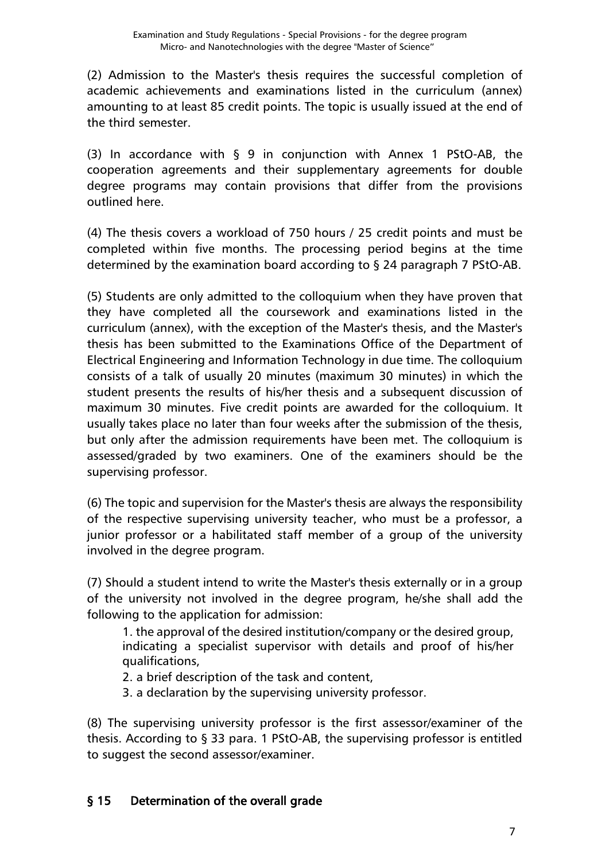(2) Admission to the Master's thesis requires the successful completion of academic achievements and examinations listed in the curriculum (annex) amounting to at least 85 credit points. The topic is usually issued at the end of the third semester.

(3) In accordance with § 9 in conjunction with Annex 1 PStO-AB, the cooperation agreements and their supplementary agreements for double degree programs may contain provisions that differ from the provisions outlined here.

(4) The thesis covers a workload of 750 hours / 25 credit points and must be completed within five months. The processing period begins at the time determined by the examination board according to § 24 paragraph 7 PStO-AB.

(5) Students are only admitted to the colloquium when they have proven that they have completed all the coursework and examinations listed in the curriculum (annex), with the exception of the Master's thesis, and the Master's thesis has been submitted to the Examinations Office of the Department of Electrical Engineering and Information Technology in due time. The colloquium consists of a talk of usually 20 minutes (maximum 30 minutes) in which the student presents the results of his/her thesis and a subsequent discussion of maximum 30 minutes. Five credit points are awarded for the colloquium. It usually takes place no later than four weeks after the submission of the thesis, but only after the admission requirements have been met. The colloquium is assessed/graded by two examiners. One of the examiners should be the supervising professor.

(6) The topic and supervision for the Master's thesis are always the responsibility of the respective supervising university teacher, who must be a professor, a junior professor or a habilitated staff member of a group of the university involved in the degree program.

(7) Should a student intend to write the Master's thesis externally or in a group of the university not involved in the degree program, he/she shall add the following to the application for admission:

1. the approval of the desired institution/company or the desired group, indicating a specialist supervisor with details and proof of his/her qualifications,

2. a brief description of the task and content,

3. a declaration by the supervising university professor.

(8) The supervising university professor is the first assessor/examiner of the thesis. According to § 33 para. 1 PStO-AB, the supervising professor is entitled to suggest the second assessor/examiner.

# <span id="page-6-0"></span>[§ 15 Determination of the overall grade](#page-0-0)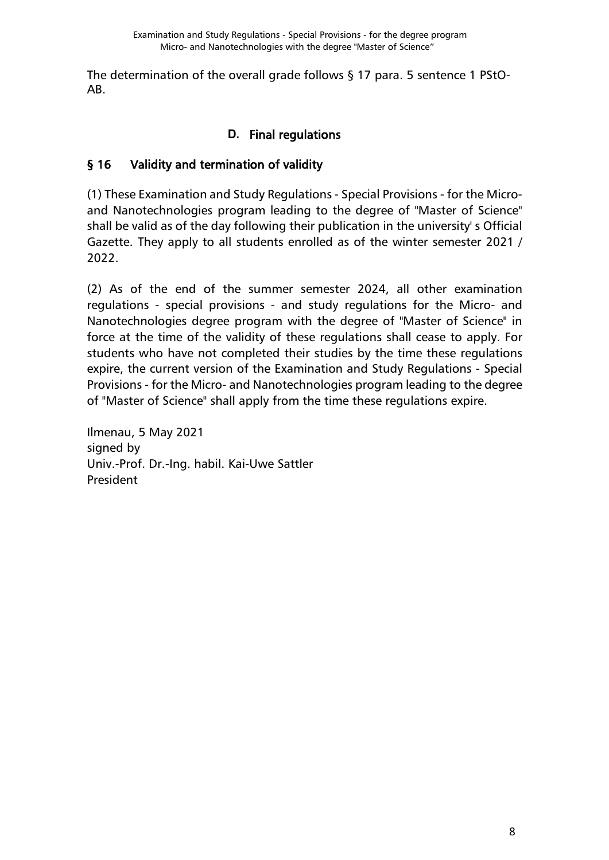The determination of the overall grade follows § 17 para. 5 sentence 1 PStO-AB.

# **D.** Final regulations

# <span id="page-7-1"></span><span id="page-7-0"></span>[§ 16 Validity and termination of validity](#page-0-0)

(1) These Examination and Study Regulations - Special Provisions - for the Microand Nanotechnologies program leading to the degree of "Master of Science" shall be valid as of the day following their publication in the university' s Official Gazette. They apply to all students enrolled as of the winter semester 2021 / 2022.

(2) As of the end of the summer semester 2024, all other examination regulations - special provisions - and study regulations for the Micro- and Nanotechnologies degree program with the degree of "Master of Science" in force at the time of the validity of these regulations shall cease to apply. For students who have not completed their studies by the time these regulations expire, the current version of the Examination and Study Regulations - Special Provisions - for the Micro- and Nanotechnologies program leading to the degree of "Master of Science" shall apply from the time these regulations expire.

Ilmenau, 5 May 2021 signed by Univ.-Prof. Dr.-Ing. habil. Kai-Uwe Sattler President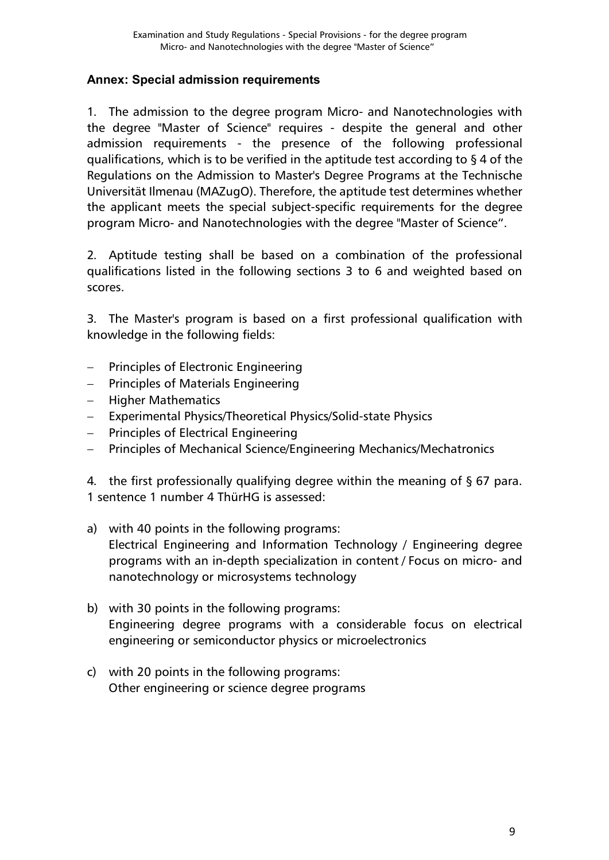#### <span id="page-8-0"></span>**Annex: [Special admission requirements](#page-0-0)**

1. The admission to the degree program Micro- and Nanotechnologies with the degree "Master of Science" requires - despite the general and other admission requirements - the presence of the following professional qualifications, which is to be verified in the aptitude test according to § 4 of the Regulations on the Admission to Master's Degree Programs at the Technische Universität Ilmenau (MAZugO). Therefore, the aptitude test determines whether the applicant meets the special subject-specific requirements for the degree program Micro- and Nanotechnologies with the degree "Master of Science".

2. Aptitude testing shall be based on a combination of the professional qualifications listed in the following sections 3 to 6 and weighted based on scores.

3. The Master's program is based on a first professional qualification with knowledge in the following fields:

- − Principles of Electronic Engineering
- − Principles of Materials Engineering
- − Higher Mathematics
- Experimental Physics/Theoretical Physics/Solid-state Physics
- − Principles of Electrical Engineering
- − Principles of Mechanical Science/Engineering Mechanics/Mechatronics

4. the first professionally qualifying degree within the meaning of  $\S$  67 para. 1 sentence 1 number 4 ThürHG is assessed:

- a) with 40 points in the following programs: Electrical Engineering and Information Technology / Engineering degree programs with an in-depth specialization in content / Focus on micro- and nanotechnology or microsystems technology
- b) with 30 points in the following programs: Engineering degree programs with a considerable focus on electrical engineering or semiconductor physics or microelectronics
- c) with 20 points in the following programs: Other engineering or science degree programs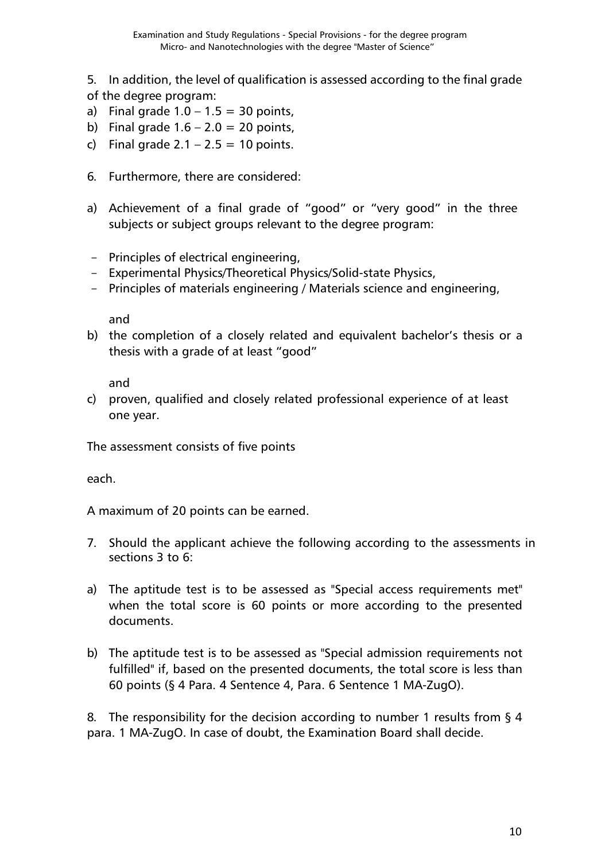5. In addition, the level of qualification is assessed according to the final grade of the degree program:

- a) Final grade  $1.0 1.5 = 30$  points,
- b) Final grade  $1.6 2.0 = 20$  points,
- c) Final grade  $2.1 2.5 = 10$  points.
- 6. Furthermore, there are considered:
- a) Achievement of a final grade of "good" or "very good" in the three subjects or subject groups relevant to the degree program:
- Principles of electrical engineering,
- Experimental Physics/Theoretical Physics/Solid-state Physics,
- Principles of materials engineering / Materials science and engineering,

and

b) the completion of a closely related and equivalent bachelor's thesis or a thesis with a grade of at least "good"

and

c) proven, qualified and closely related professional experience of at least one year.

The assessment consists of five points

each.

A maximum of 20 points can be earned.

- 7. Should the applicant achieve the following according to the assessments in sections 3 to 6:
- a) The aptitude test is to be assessed as "Special access requirements met" when the total score is 60 points or more according to the presented documents.
- b) The aptitude test is to be assessed as "Special admission requirements not fulfilled" if, based on the presented documents, the total score is less than 60 points (§ 4 Para. 4 Sentence 4, Para. 6 Sentence 1 MA-ZugO).

8. The responsibility for the decision according to number 1 results from § 4 para. 1 MA-ZugO. In case of doubt, the Examination Board shall decide.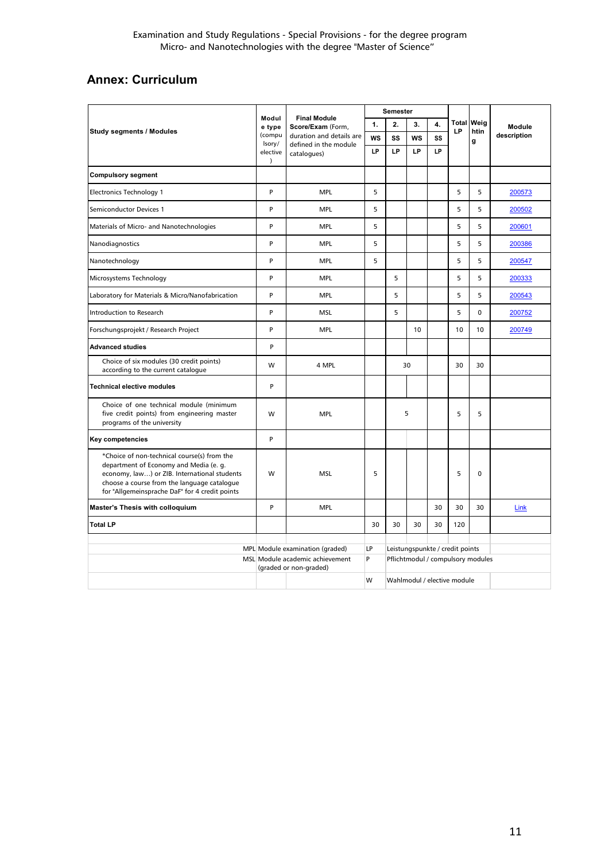## <span id="page-10-0"></span>**Annex: [Curriculum](#page-0-0)**

| <b>Study segments / Modules</b>                                                                                                                                                                                                        |                                                                                              | <b>Final Module</b><br>Score/Exam (Form,<br>duration and details are<br>defined in the module | <b>Semester</b> |                                                                      |           |          |     |                           |               |
|----------------------------------------------------------------------------------------------------------------------------------------------------------------------------------------------------------------------------------------|----------------------------------------------------------------------------------------------|-----------------------------------------------------------------------------------------------|-----------------|----------------------------------------------------------------------|-----------|----------|-----|---------------------------|---------------|
|                                                                                                                                                                                                                                        |                                                                                              |                                                                                               | 1.              | 2.                                                                   | 3.        | 4.<br>LP |     | <b>Total Weig</b><br>htin | <b>Module</b> |
|                                                                                                                                                                                                                                        |                                                                                              |                                                                                               | <b>WS</b>       | SS                                                                   | <b>WS</b> | SS       |     | g                         | description   |
|                                                                                                                                                                                                                                        | elective<br>$\lambda$                                                                        | catalogues)                                                                                   | LP              | LP                                                                   | LP        | LP       |     |                           |               |
| <b>Compulsory segment</b>                                                                                                                                                                                                              |                                                                                              |                                                                                               |                 |                                                                      |           |          |     |                           |               |
| <b>Electronics Technology 1</b>                                                                                                                                                                                                        | P                                                                                            | <b>MPL</b>                                                                                    | 5               |                                                                      |           |          | 5   | 5                         | 200573        |
| <b>Semiconductor Devices 1</b>                                                                                                                                                                                                         |                                                                                              | <b>MPL</b>                                                                                    | 5               |                                                                      |           |          | 5   | 5                         | 200502        |
| Materials of Micro- and Nanotechnologies                                                                                                                                                                                               | P                                                                                            | <b>MPL</b>                                                                                    | 5               |                                                                      |           |          | 5   | 5                         | 200601        |
| Nanodiagnostics                                                                                                                                                                                                                        | P                                                                                            | <b>MPL</b>                                                                                    | 5               |                                                                      |           |          | 5   | 5                         | 200386        |
| Nanotechnology                                                                                                                                                                                                                         | P                                                                                            | <b>MPL</b>                                                                                    | 5               |                                                                      |           |          | 5   | 5                         | 200547        |
| Microsystems Technology                                                                                                                                                                                                                | P                                                                                            | <b>MPL</b>                                                                                    |                 | 5                                                                    |           |          | 5   | 5                         | 200333        |
| Laboratory for Materials & Micro/Nanofabrication                                                                                                                                                                                       | P                                                                                            | <b>MPL</b>                                                                                    |                 | 5                                                                    |           |          | 5   | 5                         | 200543        |
| Introduction to Research                                                                                                                                                                                                               | P                                                                                            | <b>MSL</b>                                                                                    |                 | 5                                                                    |           |          | 5   | $\mathbf 0$               | 200752        |
| Forschungsprojekt / Research Project                                                                                                                                                                                                   | P                                                                                            | <b>MPL</b>                                                                                    |                 |                                                                      | 10        |          | 10  | 10                        | 200749        |
| <b>Advanced studies</b>                                                                                                                                                                                                                | P                                                                                            |                                                                                               |                 |                                                                      |           |          |     |                           |               |
| Choice of six modules (30 credit points)<br>according to the current catalogue                                                                                                                                                         |                                                                                              | 4 MPL                                                                                         |                 | 30                                                                   |           |          | 30  | 30                        |               |
| <b>Technical elective modules</b>                                                                                                                                                                                                      | P                                                                                            |                                                                                               |                 |                                                                      |           |          |     |                           |               |
| Choice of one technical module (minimum<br>five credit points) from engineering master<br>programs of the university                                                                                                                   | W                                                                                            | <b>MPL</b>                                                                                    |                 | 5                                                                    |           |          | 5   | 5                         |               |
| Key competencies                                                                                                                                                                                                                       |                                                                                              |                                                                                               |                 |                                                                      |           |          |     |                           |               |
| *Choice of non-technical course(s) from the<br>department of Economy and Media (e. g.<br>economy, law) or ZIB. International students<br>choose a course from the language catalogue<br>for "Allgemeinsprache DaF" for 4 credit points | W                                                                                            | <b>MSL</b>                                                                                    | 5               |                                                                      |           |          | 5   | $\Omega$                  |               |
| <b>Master's Thesis with colloquium</b>                                                                                                                                                                                                 | P                                                                                            | <b>MPL</b>                                                                                    |                 |                                                                      |           | 30       | 30  | 30                        | Link          |
| <b>Total LP</b>                                                                                                                                                                                                                        |                                                                                              |                                                                                               | 30              | 30                                                                   | 30        | 30       | 120 |                           |               |
|                                                                                                                                                                                                                                        |                                                                                              |                                                                                               |                 |                                                                      |           |          |     |                           |               |
|                                                                                                                                                                                                                                        | MPL Module examination (graded)<br>MSL Module academic achievement<br>(graded or non-graded) |                                                                                               | LP<br>P         | Leistungspunkte / credit points<br>Pflichtmodul / compulsory modules |           |          |     |                           |               |
|                                                                                                                                                                                                                                        |                                                                                              |                                                                                               |                 |                                                                      |           |          |     |                           |               |
|                                                                                                                                                                                                                                        |                                                                                              |                                                                                               | W               | Wahlmodul / elective module                                          |           |          |     |                           |               |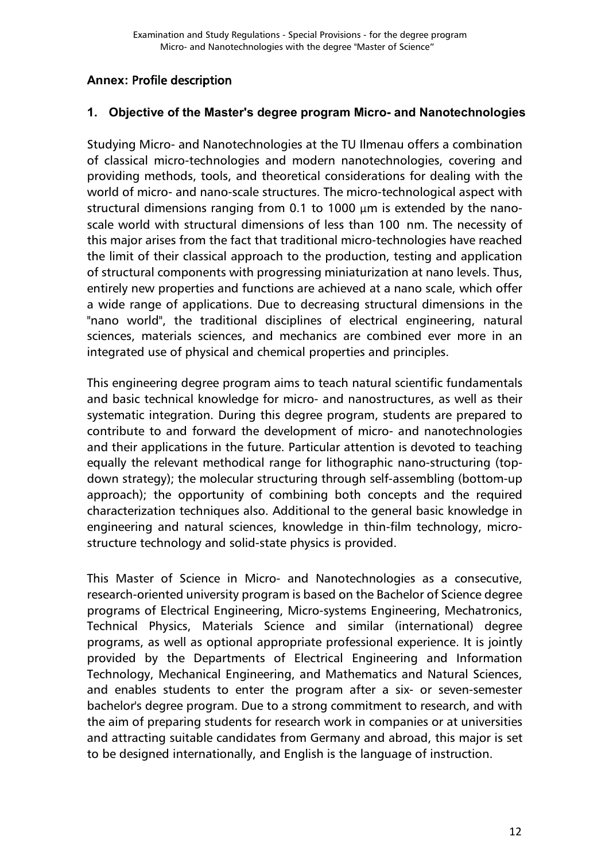### <span id="page-11-0"></span>**Annex:** [Profile description](#page-0-0)

#### **1. Objective of the Master's degree program Micro- and Nanotechnologies**

Studying Micro- and Nanotechnologies at the TU Ilmenau offers a combination of classical micro-technologies and modern nanotechnologies, covering and providing methods, tools, and theoretical considerations for dealing with the world of micro- and nano-scale structures. The micro-technological aspect with structural dimensions ranging from 0.1 to 1000 μm is extended by the nanoscale world with structural dimensions of less than 100 nm. The necessity of this major arises from the fact that traditional micro-technologies have reached the limit of their classical approach to the production, testing and application of structural components with progressing miniaturization at nano levels. Thus, entirely new properties and functions are achieved at a nano scale, which offer a wide range of applications. Due to decreasing structural dimensions in the "nano world", the traditional disciplines of electrical engineering, natural sciences, materials sciences, and mechanics are combined ever more in an integrated use of physical and chemical properties and principles.

This engineering degree program aims to teach natural scientific fundamentals and basic technical knowledge for micro- and nanostructures, as well as their systematic integration. During this degree program, students are prepared to contribute to and forward the development of micro- and nanotechnologies and their applications in the future. Particular attention is devoted to teaching equally the relevant methodical range for lithographic nano-structuring (topdown strategy); the molecular structuring through self-assembling (bottom-up approach); the opportunity of combining both concepts and the required characterization techniques also. Additional to the general basic knowledge in engineering and natural sciences, knowledge in thin-film technology, microstructure technology and solid-state physics is provided.

This Master of Science in Micro- and Nanotechnologies as a consecutive, research-oriented university program is based on the Bachelor of Science degree programs of Electrical Engineering, Micro-systems Engineering, Mechatronics, Technical Physics, Materials Science and similar (international) degree programs, as well as optional appropriate professional experience. It is jointly provided by the Departments of Electrical Engineering and Information Technology, Mechanical Engineering, and Mathematics and Natural Sciences, and enables students to enter the program after a six- or seven-semester bachelor's degree program. Due to a strong commitment to research, and with the aim of preparing students for research work in companies or at universities and attracting suitable candidates from Germany and abroad, this major is set to be designed internationally, and English is the language of instruction.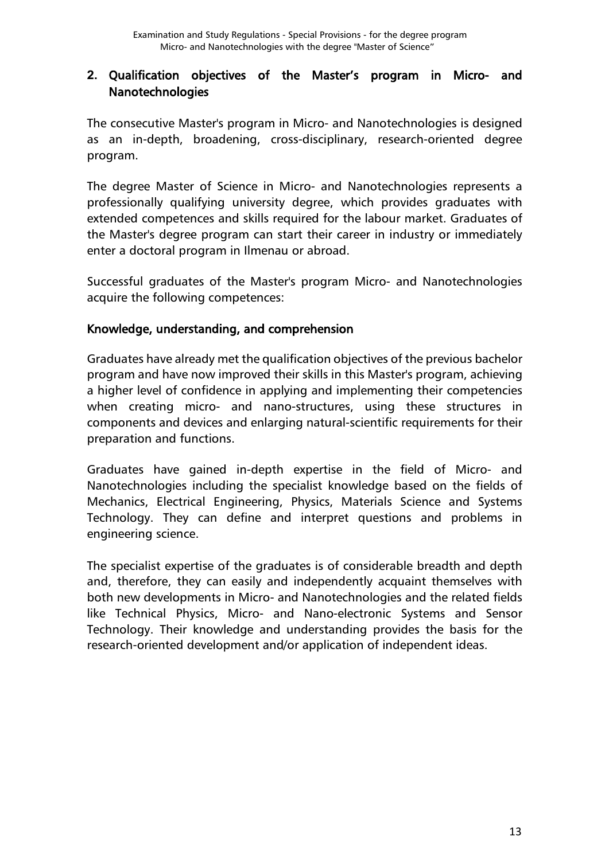### **2.** Qualification objectives of the Master's program in Micro- and Nanotechnologies

The consecutive Master's program in Micro- and Nanotechnologies is designed as an in-depth, broadening, cross-disciplinary, research-oriented degree program.

The degree Master of Science in Micro- and Nanotechnologies represents a professionally qualifying university degree, which provides graduates with extended competences and skills required for the labour market. Graduates of the Master's degree program can start their career in industry or immediately enter a doctoral program in Ilmenau or abroad.

Successful graduates of the Master's program Micro- and Nanotechnologies acquire the following competences:

### Knowledge, understanding, and comprehension

Graduates have already met the qualification objectives of the previous bachelor program and have now improved their skills in this Master's program, achieving a higher level of confidence in applying and implementing their competencies when creating micro- and nano-structures, using these structures in components and devices and enlarging natural-scientific requirements for their preparation and functions.

Graduates have gained in-depth expertise in the field of Micro- and Nanotechnologies including the specialist knowledge based on the fields of Mechanics, Electrical Engineering, Physics, Materials Science and Systems Technology. They can define and interpret questions and problems in engineering science.

The specialist expertise of the graduates is of considerable breadth and depth and, therefore, they can easily and independently acquaint themselves with both new developments in Micro- and Nanotechnologies and the related fields like Technical Physics, Micro- and Nano-electronic Systems and Sensor Technology. Their knowledge and understanding provides the basis for the research-oriented development and/or application of independent ideas.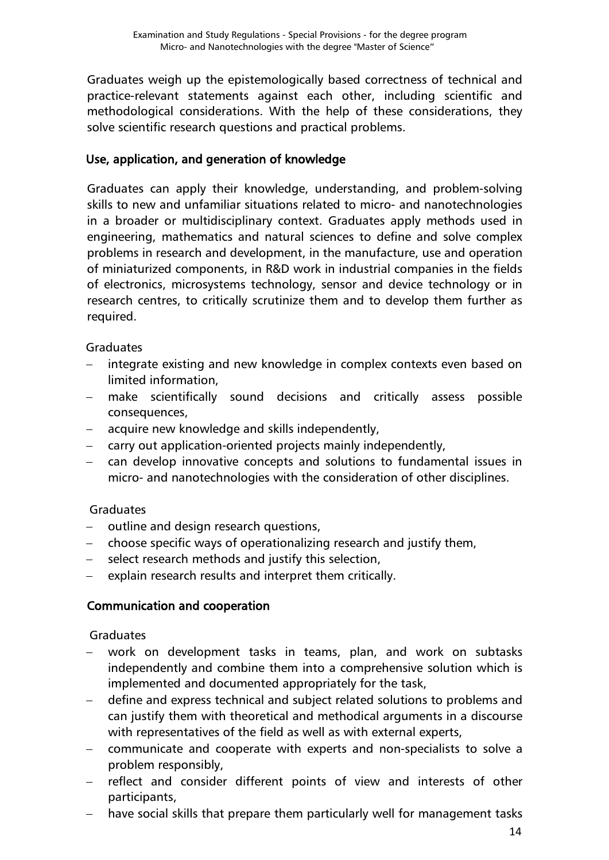Graduates weigh up the epistemologically based correctness of technical and practice-relevant statements against each other, including scientific and methodological considerations. With the help of these considerations, they solve scientific research questions and practical problems.

### Use, application, and generation of knowledge

Graduates can apply their knowledge, understanding, and problem-solving skills to new and unfamiliar situations related to micro- and nanotechnologies in a broader or multidisciplinary context. Graduates apply methods used in engineering, mathematics and natural sciences to define and solve complex problems in research and development, in the manufacture, use and operation of miniaturized components, in R&D work in industrial companies in the fields of electronics, microsystems technology, sensor and device technology or in research centres, to critically scrutinize them and to develop them further as required.

Graduates

- − integrate existing and new knowledge in complex contexts even based on limited information,
- make scientifically sound decisions and critically assess possible consequences,
- − acquire new knowledge and skills independently,
- − carry out application-oriented projects mainly independently,
- − can develop innovative concepts and solutions to fundamental issues in micro- and nanotechnologies with the consideration of other disciplines.

### Graduates

- − outline and design research questions,
- − choose specific ways of operationalizing research and justify them,
- select research methods and justify this selection,
- explain research results and interpret them critically.

### Communication and cooperation

#### **Graduates**

- work on development tasks in teams, plan, and work on subtasks independently and combine them into a comprehensive solution which is implemented and documented appropriately for the task,
- − define and express technical and subject related solutions to problems and can justify them with theoretical and methodical arguments in a discourse with representatives of the field as well as with external experts,
- − communicate and cooperate with experts and non-specialists to solve a problem responsibly,
- − reflect and consider different points of view and interests of other participants,
- have social skills that prepare them particularly well for management tasks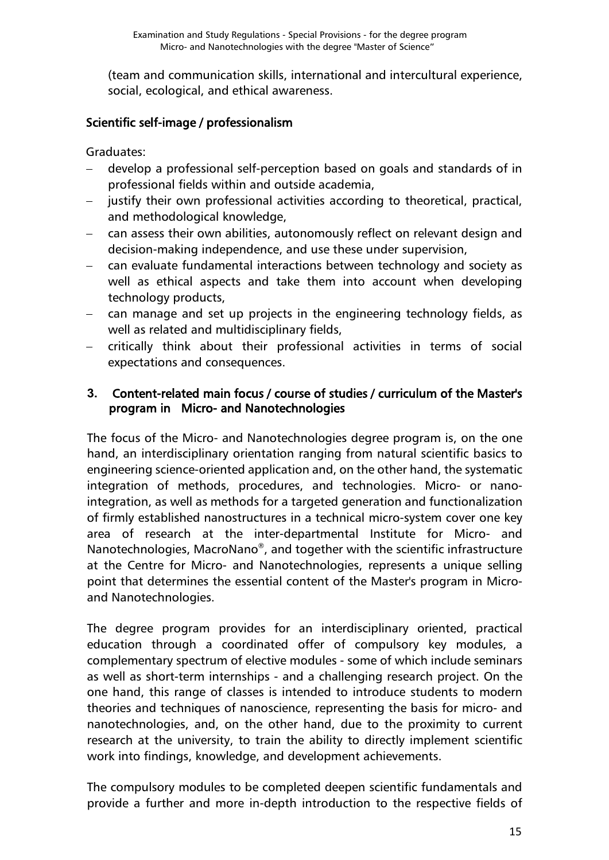(team and communication skills, international and intercultural experience, social, ecological, and ethical awareness.

### Scientific self-image / professionalism

Graduates:

- − develop a professional self-perception based on goals and standards of in professional fields within and outside academia,
- justify their own professional activities according to theoretical, practical, and methodological knowledge,
- − can assess their own abilities, autonomously reflect on relevant design and decision-making independence, and use these under supervision,
- − can evaluate fundamental interactions between technology and society as well as ethical aspects and take them into account when developing technology products,
- can manage and set up projects in the engineering technology fields, as well as related and multidisciplinary fields,
- − critically think about their professional activities in terms of social expectations and consequences.

### **3.** Content-related main focus / course of studies / curriculum of the Master's program in Micro- and Nanotechnologies

The focus of the Micro- and Nanotechnologies degree program is, on the one hand, an interdisciplinary orientation ranging from natural scientific basics to engineering science-oriented application and, on the other hand, the systematic integration of methods, procedures, and technologies. Micro- or nanointegration, as well as methods for a targeted generation and functionalization of firmly established nanostructures in a technical micro-system cover one key area of research at the inter-departmental Institute for Micro- and Nanotechnologies, MacroNano®, and together with the scientific infrastructure at the Centre for Micro- and Nanotechnologies, represents a unique selling point that determines the essential content of the Master's program in Microand Nanotechnologies.

The degree program provides for an interdisciplinary oriented, practical education through a coordinated offer of compulsory key modules, a complementary spectrum of elective modules - some of which include seminars as well as short-term internships - and a challenging research project. On the one hand, this range of classes is intended to introduce students to modern theories and techniques of nanoscience, representing the basis for micro- and nanotechnologies, and, on the other hand, due to the proximity to current research at the university, to train the ability to directly implement scientific work into findings, knowledge, and development achievements.

The compulsory modules to be completed deepen scientific fundamentals and provide a further and more in-depth introduction to the respective fields of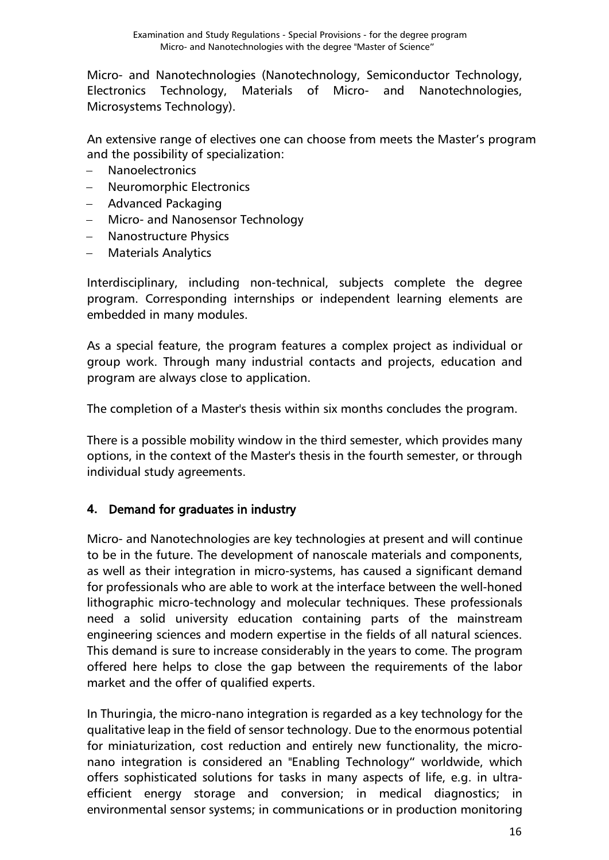Micro- and Nanotechnologies (Nanotechnology, Semiconductor Technology, Electronics Technology, Materials of Micro- and Nanotechnologies, Microsystems Technology).

An extensive range of electives one can choose from meets the Master's program and the possibility of specialization:

- − Nanoelectronics
- − Neuromorphic Electronics
- − Advanced Packaging
- − Micro- and Nanosensor Technology
- − Nanostructure Physics
- − Materials Analytics

Interdisciplinary, including non-technical, subjects complete the degree program. Corresponding internships or independent learning elements are embedded in many modules.

As a special feature, the program features a complex project as individual or group work. Through many industrial contacts and projects, education and program are always close to application.

The completion of a Master's thesis within six months concludes the program.

There is a possible mobility window in the third semester, which provides many options, in the context of the Master's thesis in the fourth semester, or through individual study agreements.

### **4.** Demand for graduates in industry

Micro- and Nanotechnologies are key technologies at present and will continue to be in the future. The development of nanoscale materials and components, as well as their integration in micro-systems, has caused a significant demand for professionals who are able to work at the interface between the well-honed lithographic micro-technology and molecular techniques. These professionals need a solid university education containing parts of the mainstream engineering sciences and modern expertise in the fields of all natural sciences. This demand is sure to increase considerably in the years to come. The program offered here helps to close the gap between the requirements of the labor market and the offer of qualified experts.

In Thuringia, the micro-nano integration is regarded as a key technology for the qualitative leap in the field of sensor technology. Due to the enormous potential for miniaturization, cost reduction and entirely new functionality, the micronano integration is considered an "Enabling Technology" worldwide, which offers sophisticated solutions for tasks in many aspects of life, e.g. in ultraefficient energy storage and conversion; in medical diagnostics; in environmental sensor systems; in communications or in production monitoring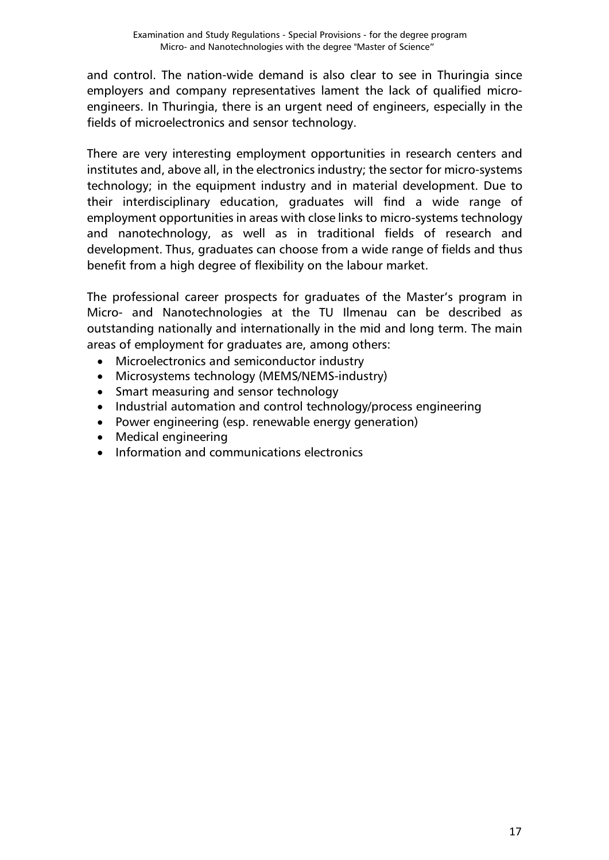and control. The nation-wide demand is also clear to see in Thuringia since employers and company representatives lament the lack of qualified microengineers. In Thuringia, there is an urgent need of engineers, especially in the fields of microelectronics and sensor technology.

There are very interesting employment opportunities in research centers and institutes and, above all, in the electronics industry; the sector for micro-systems technology; in the equipment industry and in material development. Due to their interdisciplinary education, graduates will find a wide range of employment opportunities in areas with close links to micro-systems technology and nanotechnology, as well as in traditional fields of research and development. Thus, graduates can choose from a wide range of fields and thus benefit from a high degree of flexibility on the labour market.

The professional career prospects for graduates of the Master's program in Micro- and Nanotechnologies at the TU Ilmenau can be described as outstanding nationally and internationally in the mid and long term. The main areas of employment for graduates are, among others:

- Microelectronics and semiconductor industry
- Microsystems technology (MEMS/NEMS-industry)
- Smart measuring and sensor technology
- Industrial automation and control technology/process engineering
- Power engineering (esp. renewable energy generation)
- Medical engineering
- Information and communications electronics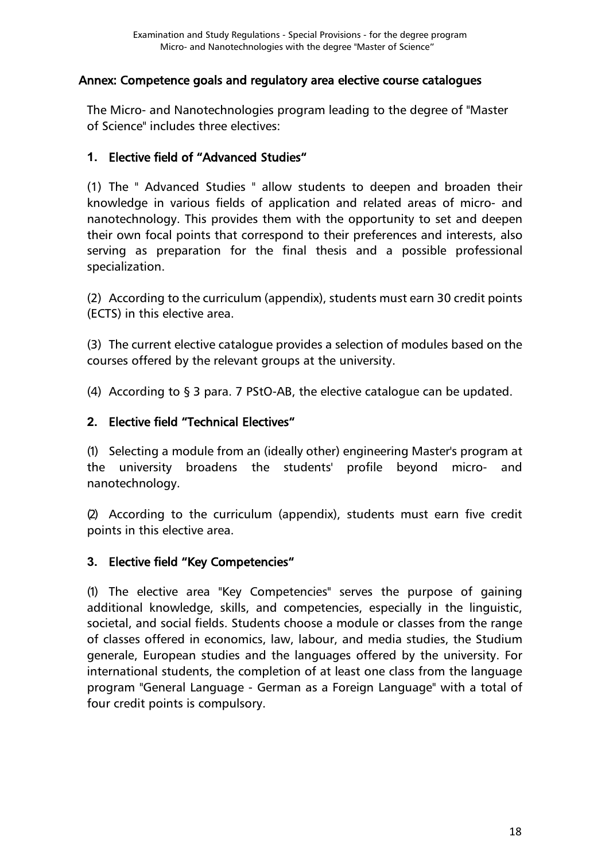#### <span id="page-17-0"></span>[Annex: Competence goals and regulatory area elective course catalogues](#page-0-0)

The Micro- and Nanotechnologies program leading to the degree of "Master of Science" includes three electives:

### **1.** Elective field of "Advanced Studies"

(1) The " Advanced Studies " allow students to deepen and broaden their knowledge in various fields of application and related areas of micro- and nanotechnology. This provides them with the opportunity to set and deepen their own focal points that correspond to their preferences and interests, also serving as preparation for the final thesis and a possible professional specialization.

(2) According to the curriculum (appendix), students must earn 30 credit points (ECTS) in this elective area.

(3) The current elective catalogue provides a selection of modules based on the courses offered by the relevant groups at the university.

(4) According to § 3 para. 7 PStO-AB, the elective catalogue can be updated.

### **2.** Elective field "Technical Electives"

(1) Selecting a module from an (ideally other) engineering Master's program at the university broadens the students' profile beyond micro- and nanotechnology.

(2) According to the curriculum (appendix), students must earn five credit points in this elective area.

### **3.** Elective field "Key Competencies"

(1) The elective area "Key Competencies" serves the purpose of gaining additional knowledge, skills, and competencies, especially in the linguistic, societal, and social fields. Students choose a module or classes from the range of classes offered in economics, law, labour, and media studies, the Studium generale, European studies and the languages offered by the university. For international students, the completion of at least one class from the language program "General Language - German as a Foreign Language" with a total of four credit points is compulsory.